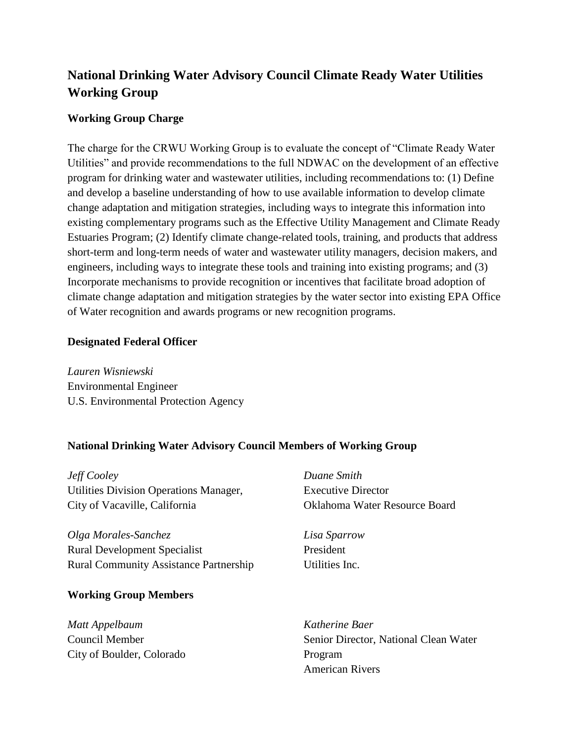# **National Drinking Water Advisory Council Climate Ready Water Utilities Working Group**

# **Working Group Charge**

The charge for the CRWU Working Group is to evaluate the concept of "Climate Ready Water Utilities" and provide recommendations to the full NDWAC on the development of an effective program for drinking water and wastewater utilities, including recommendations to: (1) Define and develop a baseline understanding of how to use available information to develop climate change adaptation and mitigation strategies, including ways to integrate this information into existing complementary programs such as the Effective Utility Management and Climate Ready Estuaries Program; (2) Identify climate change-related tools, training, and products that address short-term and long-term needs of water and wastewater utility managers, decision makers, and engineers, including ways to integrate these tools and training into existing programs; and (3) Incorporate mechanisms to provide recognition or incentives that facilitate broad adoption of climate change adaptation and mitigation strategies by the water sector into existing EPA Office of Water recognition and awards programs or new recognition programs.

#### **Designated Federal Officer**

*Lauren Wisniewski* Environmental Engineer U.S. Environmental Protection Agency

## **National Drinking Water Advisory Council Members of Working Group**

*Jeff Cooley* Utilities Division Operations Manager, City of Vacaville, California

*Olga Morales-Sanchez* Rural Development Specialist Rural Community Assistance Partnership

## **Working Group Members**

*Matt Appelbaum*  Council Member City of Boulder, Colorado *Duane Smith* Executive Director Oklahoma Water Resource Board

*Lisa Sparrow* President Utilities Inc.

*Katherine Baer*  Senior Director, National Clean Water Program American Rivers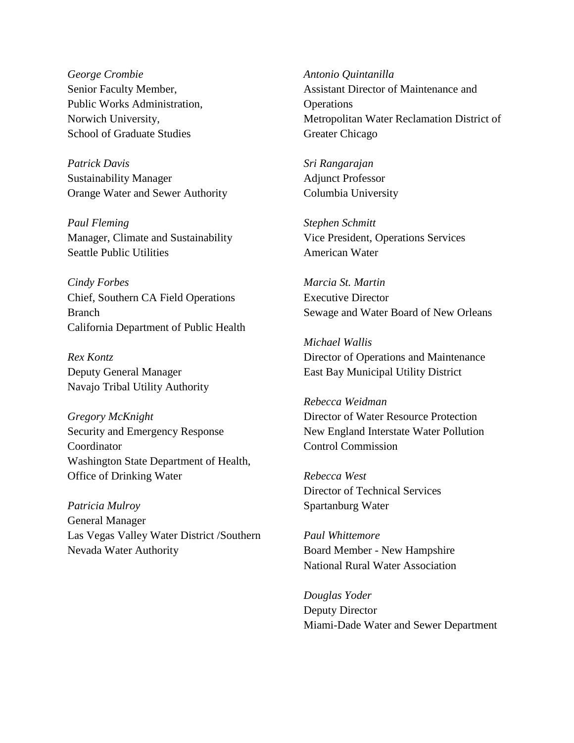*George Crombie*  Senior Faculty Member, Public Works Administration, Norwich University, School of Graduate Studies

*Patrick Davis*  Sustainability Manager Orange Water and Sewer Authority

*Paul Fleming* Manager, Climate and Sustainability Seattle Public Utilities

*Cindy Forbes*  Chief, Southern CA Field Operations Branch California Department of Public Health

*Rex Kontz* Deputy General Manager Navajo Tribal Utility Authority

*Gregory McKnight* Security and Emergency Response Coordinator Washington State Department of Health, Office of Drinking Water

*Patricia Mulroy*  General Manager Las Vegas Valley Water District /Southern Nevada Water Authority

*Antonio Quintanilla* Assistant Director of Maintenance and **Operations** Metropolitan Water Reclamation District of Greater Chicago

*Sri Rangarajan* Adjunct Professor Columbia University

*Stephen Schmitt* Vice President, Operations Services American Water

*Marcia St. Martin* Executive Director Sewage and Water Board of New Orleans

*Michael Wallis* Director of Operations and Maintenance East Bay Municipal Utility District

*Rebecca Weidman* Director of Water Resource Protection New England Interstate Water Pollution Control Commission

*Rebecca West* Director of Technical Services Spartanburg Water

*Paul Whittemore* Board Member - New Hampshire National Rural Water Association

*Douglas Yoder*  Deputy Director Miami-Dade Water and Sewer Department